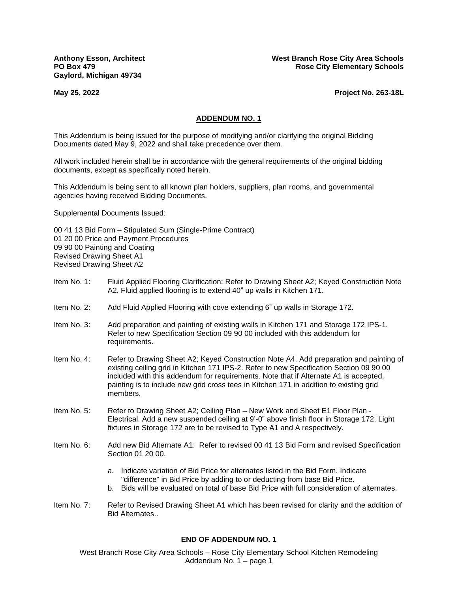**Gaylord, Michigan 49734**

**Anthony Esson, Architect West Branch Rose City Area Schools PO Box 479 Rose City Elementary Schools Rose City Elementary Schools** 

**May 25, 2022 Project No. 263-18L**

#### **ADDENDUM NO. 1**

This Addendum is being issued for the purpose of modifying and/or clarifying the original Bidding Documents dated May 9, 2022 and shall take precedence over them.

All work included herein shall be in accordance with the general requirements of the original bidding documents, except as specifically noted herein.

This Addendum is being sent to all known plan holders, suppliers, plan rooms, and governmental agencies having received Bidding Documents.

Supplemental Documents Issued:

00 41 13 Bid Form – Stipulated Sum (Single-Prime Contract) 01 20 00 Price and Payment Procedures 09 90 00 Painting and Coating Revised Drawing Sheet A1 Revised Drawing Sheet A2

- Item No. 1: Fluid Applied Flooring Clarification: Refer to Drawing Sheet A2; Keyed Construction Note A2. Fluid applied flooring is to extend 40" up walls in Kitchen 171.
- Item No. 2: Add Fluid Applied Flooring with cove extending 6" up walls in Storage 172.
- Item No. 3: Add preparation and painting of existing walls in Kitchen 171 and Storage 172 IPS-1. Refer to new Specification Section 09 90 00 included with this addendum for requirements.
- Item No. 4: Refer to Drawing Sheet A2; Keyed Construction Note A4. Add preparation and painting of existing ceiling grid in Kitchen 171 IPS-2. Refer to new Specification Section 09 90 00 included with this addendum for requirements. Note that if Alternate A1 is accepted, painting is to include new grid cross tees in Kitchen 171 in addition to existing grid members.
- Item No. 5: Refer to Drawing Sheet A2; Ceiling Plan New Work and Sheet E1 Floor Plan -Electrical. Add a new suspended ceiling at 9'-0" above finish floor in Storage 172. Light fixtures in Storage 172 are to be revised to Type A1 and A respectively.
- Item No. 6: Add new Bid Alternate A1: Refer to revised 00 41 13 Bid Form and revised Specification Section 01 20 00.
	- a. Indicate variation of Bid Price for alternates listed in the Bid Form. Indicate "difference" in Bid Price by adding to or deducting from base Bid Price.
	- b. Bids will be evaluated on total of base Bid Price with full consideration of alternates.
- Item No. 7: Refer to Revised Drawing Sheet A1 which has been revised for clarity and the addition of **Bid Alternates**

#### **END OF ADDENDUM NO. 1**

West Branch Rose City Area Schools – Rose City Elementary School Kitchen Remodeling Addendum No. 1 – page 1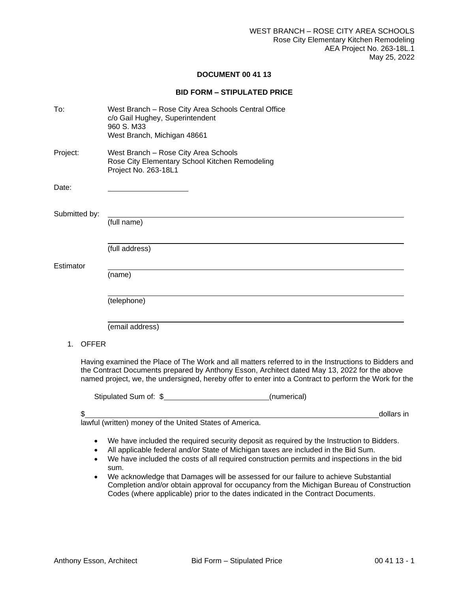#### **DOCUMENT 00 41 13**

#### **BID FORM – STIPULATED PRICE**

| To:                | West Branch - Rose City Area Schools Central Office<br>c/o Gail Hughey, Superintendent<br>960 S. M33<br>West Branch, Michigan 48661                                                                                                                                                                                                                                                                                                                                                                                                                          |
|--------------------|--------------------------------------------------------------------------------------------------------------------------------------------------------------------------------------------------------------------------------------------------------------------------------------------------------------------------------------------------------------------------------------------------------------------------------------------------------------------------------------------------------------------------------------------------------------|
| Project:           | West Branch - Rose City Area Schools<br>Rose City Elementary School Kitchen Remodeling<br>Project No. 263-18L1                                                                                                                                                                                                                                                                                                                                                                                                                                               |
| Date:              |                                                                                                                                                                                                                                                                                                                                                                                                                                                                                                                                                              |
| Submitted by:      | (full name)                                                                                                                                                                                                                                                                                                                                                                                                                                                                                                                                                  |
|                    | (full address)                                                                                                                                                                                                                                                                                                                                                                                                                                                                                                                                               |
| Estimator          | (name)                                                                                                                                                                                                                                                                                                                                                                                                                                                                                                                                                       |
|                    | (telephone)                                                                                                                                                                                                                                                                                                                                                                                                                                                                                                                                                  |
|                    | (email address)                                                                                                                                                                                                                                                                                                                                                                                                                                                                                                                                              |
| <b>OFFER</b><br>1. |                                                                                                                                                                                                                                                                                                                                                                                                                                                                                                                                                              |
|                    | Having examined the Place of The Work and all matters referred to in the Instructions to Bidders and<br>the Contract Documents prepared by Anthony Esson, Architect dated May 13, 2022 for the above<br>named project, we, the undersigned, hereby offer to enter into a Contract to perform the Work for the                                                                                                                                                                                                                                                |
|                    | Stipulated Sum of: \$________________________________(numerical)                                                                                                                                                                                                                                                                                                                                                                                                                                                                                             |
| \$                 | dollars in                                                                                                                                                                                                                                                                                                                                                                                                                                                                                                                                                   |
|                    | lawful (written) money of the United States of America.                                                                                                                                                                                                                                                                                                                                                                                                                                                                                                      |
|                    | We have included the required security deposit as required by the Instruction to Bidders.<br>All applicable federal and/or State of Michigan taxes are included in the Bid Sum.<br>We have included the costs of all required construction permits and inspections in the bid<br>sum.<br>We acknowledge that Damages will be assessed for our failure to achieve Substantial<br>Completion and/or obtain approval for occupancy from the Michigan Bureau of Construction<br>Codes (where applicable) prior to the dates indicated in the Contract Documents. |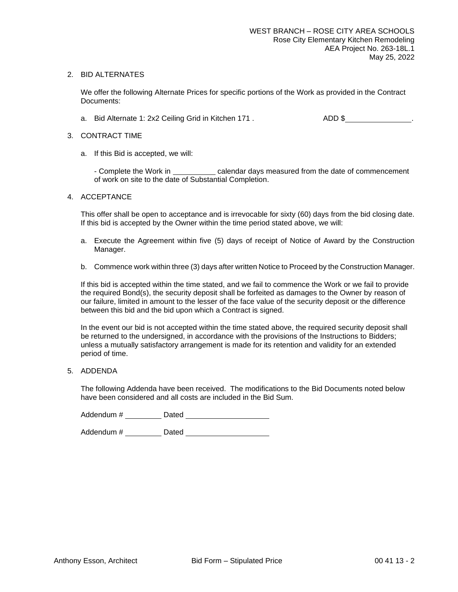#### 2. BID ALTERNATES

We offer the following Alternate Prices for specific portions of the Work as provided in the Contract Documents:

a. Bid Alternate 1: 2x2 Ceiling Grid in Kitchen 171 . ADD \$

#### 3. CONTRACT TIME

a. If this Bid is accepted, we will:

- Complete the Work in calendar days measured from the date of commencement of work on site to the date of Substantial Completion.

#### 4. ACCEPTANCE

This offer shall be open to acceptance and is irrevocable for sixty (60) days from the bid closing date. If this bid is accepted by the Owner within the time period stated above, we will:

- a. Execute the Agreement within five (5) days of receipt of Notice of Award by the Construction Manager.
- b. Commence work within three (3) days after written Notice to Proceed by the Construction Manager.

If this bid is accepted within the time stated, and we fail to commence the Work or we fail to provide the required Bond(s), the security deposit shall be forfeited as damages to the Owner by reason of our failure, limited in amount to the lesser of the face value of the security deposit or the difference between this bid and the bid upon which a Contract is signed.

In the event our bid is not accepted within the time stated above, the required security deposit shall be returned to the undersigned, in accordance with the provisions of the Instructions to Bidders; unless a mutually satisfactory arrangement is made for its retention and validity for an extended period of time.

5. ADDENDA

The following Addenda have been received. The modifications to the Bid Documents noted below have been considered and all costs are included in the Bid Sum.

Addendum # Dated

Addendum # Dated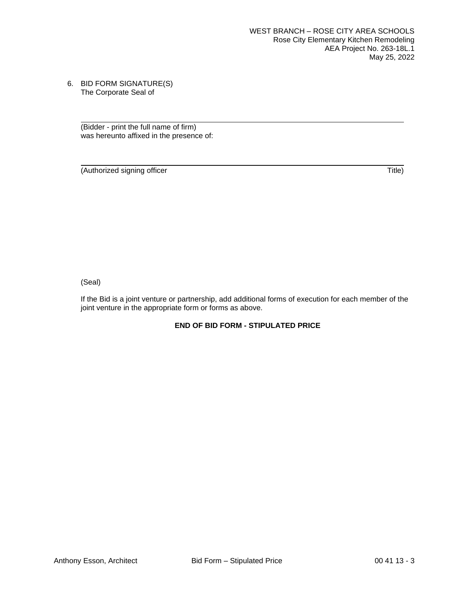6. BID FORM SIGNATURE(S) The Corporate Seal of

> (Bidder - print the full name of firm) was hereunto affixed in the presence of:

(Authorized signing officer Title)

(Seal)

If the Bid is a joint venture or partnership, add additional forms of execution for each member of the joint venture in the appropriate form or forms as above.

### **END OF BID FORM - STIPULATED PRICE**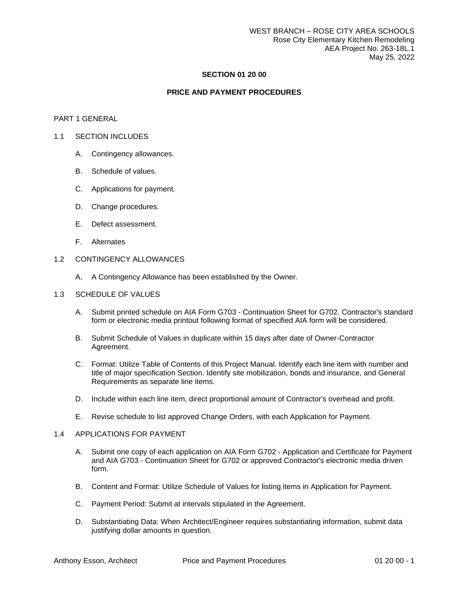#### **SECTION 01 20 00**

#### **PRICE AND PAYMENT PROCEDURES**

#### PART 1 GENERAL

#### 1.1 SECTION INCLUDES

- A. Contingency allowances.
- B. Schedule of values.
- C. Applications for payment.
- D. Change procedures.
- E. Defect assessment.
- F. Alternates

#### 1.2 CONTINGENCY ALLOWANCES

A. A Contingency Allowance has been established by the Owner.

#### 1.3 SCHEDULE OF VALUES

- A. Submit printed schedule on AIA Form G703 Continuation Sheet for G702. Contractor's standard form or electronic media printout following format of specified AIA form will be considered.
- B. Submit Schedule of Values in duplicate within 15 days after date of Owner-Contractor Agreement.
- C. Format: Utilize Table of Contents of this Project Manual. Identify each line item with number and title of major specification Section. Identify site mobilization, bonds and insurance, and General Requirements as separate line items.
- D. Include within each line item, direct proportional amount of Contractor's overhead and profit.
- E. Revise schedule to list approved Change Orders, with each Application for Payment.

#### 1.4 APPLICATIONS FOR PAYMENT

- A. Submit one copy of each application on AIA Form G702 Application and Certificate for Payment and AIA G703 - Continuation Sheet for G702 or approved Contractor's electronic media driven form.
- B. Content and Format: Utilize Schedule of Values for listing items in Application for Payment.
- C. Payment Period: Submit at intervals stipulated in the Agreement.
- D. Substantiating Data: When Architect/Engineer requires substantiating information, submit data justifying dollar amounts in question.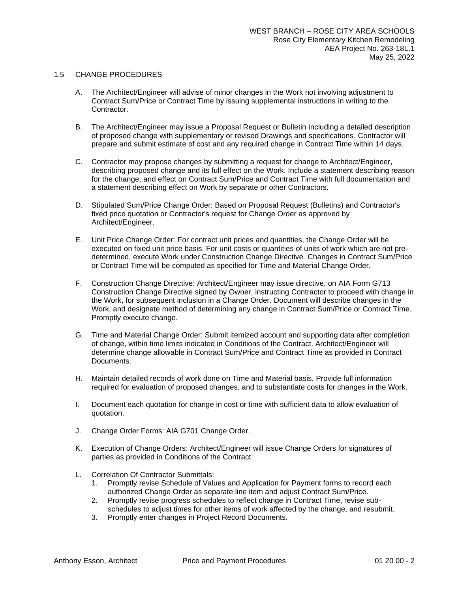#### 1.5 CHANGE PROCEDURES

- A. The Architect/Engineer will advise of minor changes in the Work not involving adjustment to Contract Sum/Price or Contract Time by issuing supplemental instructions in writing to the Contractor.
- B. The Architect/Engineer may issue a Proposal Request or Bulletin including a detailed description of proposed change with supplementary or revised Drawings and specifications. Contractor will prepare and submit estimate of cost and any required change in Contract Time within 14 days.
- C. Contractor may propose changes by submitting a request for change to Architect/Engineer, describing proposed change and its full effect on the Work. Include a statement describing reason for the change, and effect on Contract Sum/Price and Contract Time with full documentation and a statement describing effect on Work by separate or other Contractors.
- D. Stipulated Sum/Price Change Order: Based on Proposal Request (Bulletins) and Contractor's fixed price quotation or Contractor's request for Change Order as approved by Architect/Engineer.
- E. Unit Price Change Order: For contract unit prices and quantities, the Change Order will be executed on fixed unit price basis. For unit costs or quantities of units of work which are not predetermined, execute Work under Construction Change Directive. Changes in Contract Sum/Price or Contract Time will be computed as specified for Time and Material Change Order.
- F. Construction Change Directive: Architect/Engineer may issue directive, on AIA Form G713 Construction Change Directive signed by Owner, instructing Contractor to proceed with change in the Work, for subsequent inclusion in a Change Order. Document will describe changes in the Work, and designate method of determining any change in Contract Sum/Price or Contract Time. Promptly execute change.
- G. Time and Material Change Order: Submit itemized account and supporting data after completion of change, within time limits indicated in Conditions of the Contract. Architect/Engineer will determine change allowable in Contract Sum/Price and Contract Time as provided in Contract Documents.
- H. Maintain detailed records of work done on Time and Material basis. Provide full information required for evaluation of proposed changes, and to substantiate costs for changes in the Work.
- I. Document each quotation for change in cost or time with sufficient data to allow evaluation of quotation.
- J. Change Order Forms: AIA G701 Change Order.
- K. Execution of Change Orders: Architect/Engineer will issue Change Orders for signatures of parties as provided in Conditions of the Contract.
- L. Correlation Of Contractor Submittals:
	- 1. Promptly revise Schedule of Values and Application for Payment forms to record each authorized Change Order as separate line item and adjust Contract Sum/Price.
	- 2. Promptly revise progress schedules to reflect change in Contract Time, revise subschedules to adjust times for other items of work affected by the change, and resubmit.
	- 3. Promptly enter changes in Project Record Documents.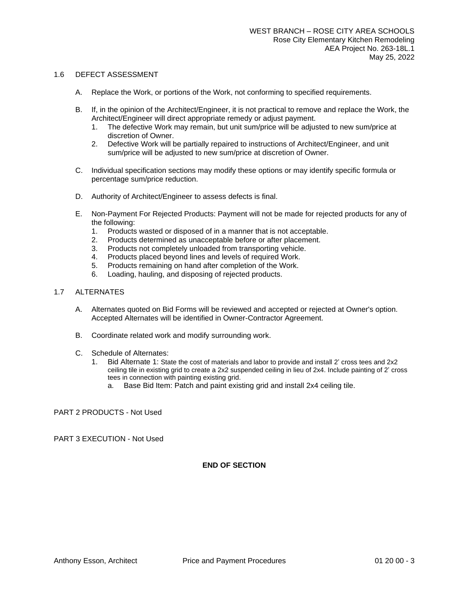#### 1.6 DEFECT ASSESSMENT

- A. Replace the Work, or portions of the Work, not conforming to specified requirements.
- B. If, in the opinion of the Architect/Engineer, it is not practical to remove and replace the Work, the Architect/Engineer will direct appropriate remedy or adjust payment.
	- 1. The defective Work may remain, but unit sum/price will be adjusted to new sum/price at discretion of Owner.
	- 2. Defective Work will be partially repaired to instructions of Architect/Engineer, and unit sum/price will be adjusted to new sum/price at discretion of Owner.
- C. Individual specification sections may modify these options or may identify specific formula or percentage sum/price reduction.
- D. Authority of Architect/Engineer to assess defects is final.
- E. Non-Payment For Rejected Products: Payment will not be made for rejected products for any of the following:
	- 1. Products wasted or disposed of in a manner that is not acceptable.
	- 2. Products determined as unacceptable before or after placement.
	- 3. Products not completely unloaded from transporting vehicle.
	- 4. Products placed beyond lines and levels of required Work.
	- 5. Products remaining on hand after completion of the Work.
	- 6. Loading, hauling, and disposing of rejected products.

#### 1.7 ALTERNATES

- A. Alternates quoted on Bid Forms will be reviewed and accepted or rejected at Owner's option. Accepted Alternates will be identified in Owner-Contractor Agreement.
- B. Coordinate related work and modify surrounding work.
- C. Schedule of Alternates:
	- 1. Bid Alternate 1: State the cost of materials and labor to provide and install 2' cross tees and 2x2 ceiling tile in existing grid to create a 2x2 suspended ceiling in lieu of 2x4. Include painting of 2' cross tees in connection with painting existing grid.
		- a. Base Bid Item: Patch and paint existing grid and install 2x4 ceiling tile.

PART 2 PRODUCTS - Not Used

PART 3 EXECUTION - Not Used

#### **END OF SECTION**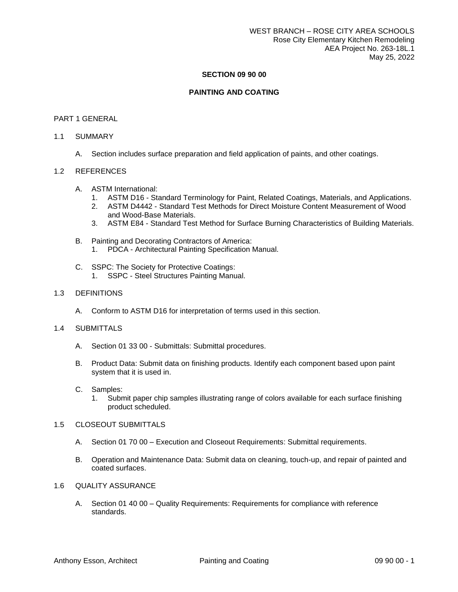#### **SECTION 09 90 00**

#### **PAINTING AND COATING**

#### PART 1 GENERAL

#### 1.1 SUMMARY

A. Section includes surface preparation and field application of paints, and other coatings.

#### 1.2 REFERENCES

- A. ASTM International:
	- 1. ASTM D16 Standard Terminology for Paint, Related Coatings, Materials, and Applications.
	- 2. ASTM D4442 Standard Test Methods for Direct Moisture Content Measurement of Wood and Wood-Base Materials.
	- 3. ASTM E84 Standard Test Method for Surface Burning Characteristics of Building Materials.
- B. Painting and Decorating Contractors of America:
	- 1. PDCA Architectural Painting Specification Manual.
- C. SSPC: The Society for Protective Coatings:
	- 1. SSPC Steel Structures Painting Manual.

#### 1.3 DEFINITIONS

A. Conform to ASTM D16 for interpretation of terms used in this section.

#### 1.4 SUBMITTALS

- A. Section 01 33 00 Submittals: Submittal procedures.
- B. Product Data: Submit data on finishing products. Identify each component based upon paint system that it is used in.
- C. Samples:
	- 1. Submit paper chip samples illustrating range of colors available for each surface finishing product scheduled.

#### 1.5 CLOSEOUT SUBMITTALS

- A. Section 01 70 00 Execution and Closeout Requirements: Submittal requirements.
- B. Operation and Maintenance Data: Submit data on cleaning, touch-up, and repair of painted and coated surfaces.
- 1.6 QUALITY ASSURANCE
	- A. Section 01 40 00 Quality Requirements: Requirements for compliance with reference standards.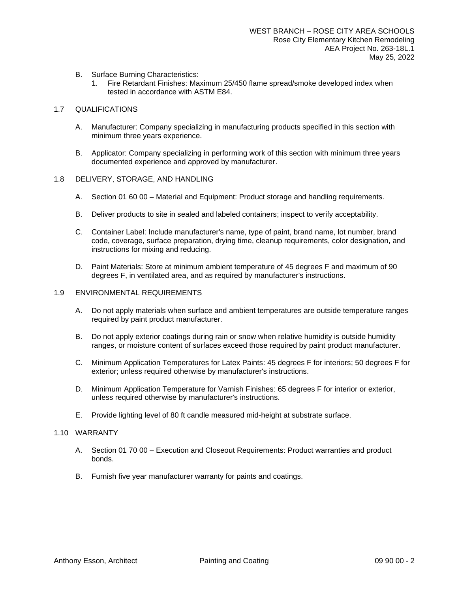- B. Surface Burning Characteristics:
	- 1. Fire Retardant Finishes: Maximum 25/450 flame spread/smoke developed index when tested in accordance with ASTM E84.

#### 1.7 QUALIFICATIONS

- A. Manufacturer: Company specializing in manufacturing products specified in this section with minimum three years experience.
- B. Applicator: Company specializing in performing work of this section with minimum three years documented experience and approved by manufacturer.

#### 1.8 DELIVERY, STORAGE, AND HANDLING

- A. Section 01 60 00 Material and Equipment: Product storage and handling requirements.
- B. Deliver products to site in sealed and labeled containers; inspect to verify acceptability.
- C. Container Label: Include manufacturer's name, type of paint, brand name, lot number, brand code, coverage, surface preparation, drying time, cleanup requirements, color designation, and instructions for mixing and reducing.
- D. Paint Materials: Store at minimum ambient temperature of 45 degrees F and maximum of 90 degrees F, in ventilated area, and as required by manufacturer's instructions.

#### 1.9 ENVIRONMENTAL REQUIREMENTS

- A. Do not apply materials when surface and ambient temperatures are outside temperature ranges required by paint product manufacturer.
- B. Do not apply exterior coatings during rain or snow when relative humidity is outside humidity ranges, or moisture content of surfaces exceed those required by paint product manufacturer.
- C. Minimum Application Temperatures for Latex Paints: 45 degrees F for interiors; 50 degrees F for exterior; unless required otherwise by manufacturer's instructions.
- D. Minimum Application Temperature for Varnish Finishes: 65 degrees F for interior or exterior, unless required otherwise by manufacturer's instructions.
- E. Provide lighting level of 80 ft candle measured mid-height at substrate surface.

#### 1.10 WARRANTY

- A. Section 01 70 00 Execution and Closeout Requirements: Product warranties and product bonds.
- B. Furnish five year manufacturer warranty for paints and coatings.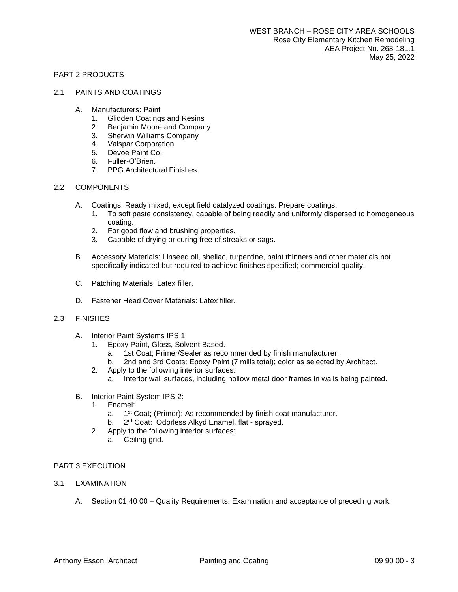#### PART 2 PRODUCTS

#### 2.1 PAINTS AND COATINGS

- A. Manufacturers: Paint
	- 1. Glidden Coatings and Resins
	- 2. Benjamin Moore and Company
	- 3. Sherwin Williams Company
	- 4. Valspar Corporation
	- 5. Devoe Paint Co.
	- 6. Fuller-O'Brien.
	- 7. PPG Architectural Finishes.

#### 2.2 COMPONENTS

- A. Coatings: Ready mixed, except field catalyzed coatings. Prepare coatings:
	- 1. To soft paste consistency, capable of being readily and uniformly dispersed to homogeneous coating.
	- 2. For good flow and brushing properties.
	- 3. Capable of drying or curing free of streaks or sags.
- B. Accessory Materials: Linseed oil, shellac, turpentine, paint thinners and other materials not specifically indicated but required to achieve finishes specified; commercial quality.
- C. Patching Materials: Latex filler.
- D. Fastener Head Cover Materials: Latex filler.

#### 2.3 FINISHES

- A. Interior Paint Systems IPS 1:
	- 1. Epoxy Paint, Gloss, Solvent Based.
		- a. 1st Coat; Primer/Sealer as recommended by finish manufacturer.
		- b. 2nd and 3rd Coats: Epoxy Paint (7 mills total); color as selected by Architect.
	- 2. Apply to the following interior surfaces:
		- a. Interior wall surfaces, including hollow metal door frames in walls being painted.
- B. Interior Paint System IPS-2:
	- 1. Enamel:
		- a. 1<sup>st</sup> Coat; (Primer): As recommended by finish coat manufacturer.
		- b. 2<sup>rd</sup> Coat: Odorless Alkyd Enamel, flat sprayed.
	- 2. Apply to the following interior surfaces:
		- a. Ceiling grid.

#### PART 3 EXECUTION

- 3.1 EXAMINATION
	- A. Section 01 40 00 Quality Requirements: Examination and acceptance of preceding work.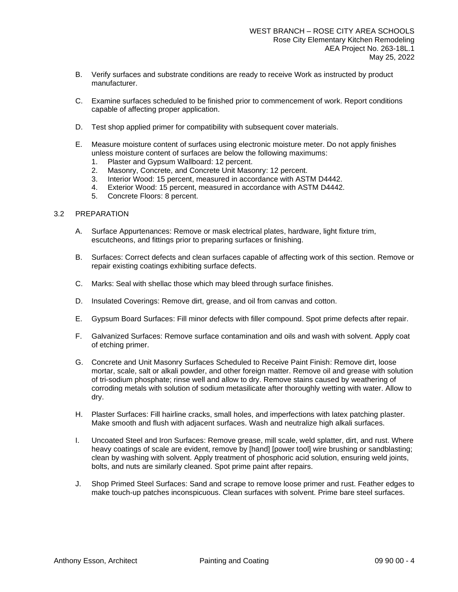- B. Verify surfaces and substrate conditions are ready to receive Work as instructed by product manufacturer.
- C. Examine surfaces scheduled to be finished prior to commencement of work. Report conditions capable of affecting proper application.
- D. Test shop applied primer for compatibility with subsequent cover materials.
- E. Measure moisture content of surfaces using electronic moisture meter. Do not apply finishes unless moisture content of surfaces are below the following maximums:
	- 1. Plaster and Gypsum Wallboard: 12 percent.
	- 2. Masonry, Concrete, and Concrete Unit Masonry: 12 percent.
	- 3. Interior Wood: 15 percent, measured in accordance with ASTM D4442.
	- 4. Exterior Wood: 15 percent, measured in accordance with ASTM D4442.
	- 5. Concrete Floors: 8 percent.

#### 3.2 PREPARATION

- A. Surface Appurtenances: Remove or mask electrical plates, hardware, light fixture trim, escutcheons, and fittings prior to preparing surfaces or finishing.
- B. Surfaces: Correct defects and clean surfaces capable of affecting work of this section. Remove or repair existing coatings exhibiting surface defects.
- C. Marks: Seal with shellac those which may bleed through surface finishes.
- D. Insulated Coverings: Remove dirt, grease, and oil from canvas and cotton.
- E. Gypsum Board Surfaces: Fill minor defects with filler compound. Spot prime defects after repair.
- F. Galvanized Surfaces: Remove surface contamination and oils and wash with solvent. Apply coat of etching primer.
- G. Concrete and Unit Masonry Surfaces Scheduled to Receive Paint Finish: Remove dirt, loose mortar, scale, salt or alkali powder, and other foreign matter. Remove oil and grease with solution of tri-sodium phosphate; rinse well and allow to dry. Remove stains caused by weathering of corroding metals with solution of sodium metasilicate after thoroughly wetting with water. Allow to dry.
- H. Plaster Surfaces: Fill hairline cracks, small holes, and imperfections with latex patching plaster. Make smooth and flush with adjacent surfaces. Wash and neutralize high alkali surfaces.
- I. Uncoated Steel and Iron Surfaces: Remove grease, mill scale, weld splatter, dirt, and rust. Where heavy coatings of scale are evident, remove by [hand] [power tool] wire brushing or sandblasting; clean by washing with solvent. Apply treatment of phosphoric acid solution, ensuring weld joints, bolts, and nuts are similarly cleaned. Spot prime paint after repairs.
- J. Shop Primed Steel Surfaces: Sand and scrape to remove loose primer and rust. Feather edges to make touch-up patches inconspicuous. Clean surfaces with solvent. Prime bare steel surfaces.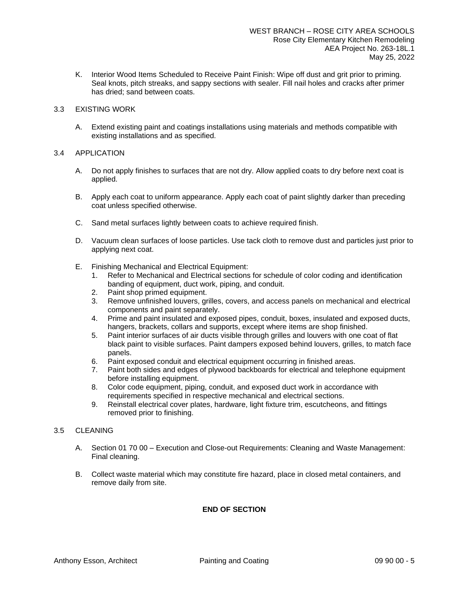K. Interior Wood Items Scheduled to Receive Paint Finish: Wipe off dust and grit prior to priming. Seal knots, pitch streaks, and sappy sections with sealer. Fill nail holes and cracks after primer has dried; sand between coats.

#### 3.3 EXISTING WORK

A. Extend existing paint and coatings installations using materials and methods compatible with existing installations and as specified.

#### 3.4 APPLICATION

- A. Do not apply finishes to surfaces that are not dry. Allow applied coats to dry before next coat is applied.
- B. Apply each coat to uniform appearance. Apply each coat of paint slightly darker than preceding coat unless specified otherwise.
- C. Sand metal surfaces lightly between coats to achieve required finish.
- D. Vacuum clean surfaces of loose particles. Use tack cloth to remove dust and particles just prior to applying next coat.
- E. Finishing Mechanical and Electrical Equipment:
	- 1. Refer to Mechanical and Electrical sections for schedule of color coding and identification banding of equipment, duct work, piping, and conduit.
	- 2. Paint shop primed equipment.
	- 3. Remove unfinished louvers, grilles, covers, and access panels on mechanical and electrical components and paint separately.
	- 4. Prime and paint insulated and exposed pipes, conduit, boxes, insulated and exposed ducts, hangers, brackets, collars and supports, except where items are shop finished.
	- 5. Paint interior surfaces of air ducts visible through grilles and louvers with one coat of flat black paint to visible surfaces. Paint dampers exposed behind louvers, grilles, to match face panels.
	- 6. Paint exposed conduit and electrical equipment occurring in finished areas.
	- 7. Paint both sides and edges of plywood backboards for electrical and telephone equipment before installing equipment.
	- 8. Color code equipment, piping, conduit, and exposed duct work in accordance with requirements specified in respective mechanical and electrical sections.
	- 9. Reinstall electrical cover plates, hardware, light fixture trim, escutcheons, and fittings removed prior to finishing.

#### 3.5 CLEANING

- A. Section 01 70 00 Execution and Close-out Requirements: Cleaning and Waste Management: Final cleaning.
- B. Collect waste material which may constitute fire hazard, place in closed metal containers, and remove daily from site.

#### **END OF SECTION**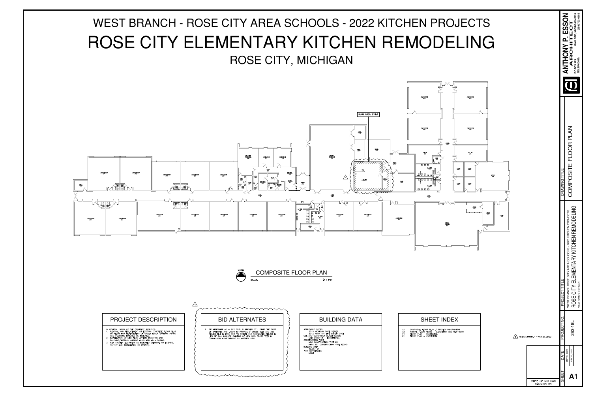COMPOSITE FLOOR PLAN

 $\frac{1}{16}$ " = 1'- $\varphi$ "

|                                                                                                                                                                                                                                                                                                                                                                                                                | mmmmmmmm                                                                                                                                                                                                                                                                                       |                                                                                                                                                                                                                                                                                                           |  |                                                                                                                                                |
|----------------------------------------------------------------------------------------------------------------------------------------------------------------------------------------------------------------------------------------------------------------------------------------------------------------------------------------------------------------------------------------------------------------|------------------------------------------------------------------------------------------------------------------------------------------------------------------------------------------------------------------------------------------------------------------------------------------------|-----------------------------------------------------------------------------------------------------------------------------------------------------------------------------------------------------------------------------------------------------------------------------------------------------------|--|------------------------------------------------------------------------------------------------------------------------------------------------|
| <b>PROJECT DESCRIPTION</b>                                                                                                                                                                                                                                                                                                                                                                                     | <b>BID ALTERNATES</b>                                                                                                                                                                                                                                                                          | <b>BUILDING DATA</b>                                                                                                                                                                                                                                                                                      |  | <b>SHEET INDEX</b>                                                                                                                             |
| GENERAL, WORK OF THE CONTRACT INCLUDES:<br>REMOVAL AND REPLACEMENT OF EXISTGIN CONCRETE FLOOR SLAB<br>TO ALLOW FOR REPLACEMENT OF UNDER FLOOR SANITARY PIPING<br>AND PLUMBING FIXTURES AS INDICATED.<br>INSTALLATION OF NEW FLUID APPLIED FLOORING AND<br>PATCHING/TOPPING EXISTING FLUID APPLIED FLOORING.<br>NEW KITCHEN EQUIPMENT AS INDICATED (REMOVAL OF EXISTING,<br>SUPPLY AND INSTALLATION BY OTHERS). | BID ALTERNATE A1 - 2X2 GRID IN KITCHEN 171: STATE THE COST<br>OF MATERIALS AND LABOR TO PROVIDE 2' CROSS TEES AND 2x2<br>CEILING TILE IN EX'G GRID TO CREATE 2x2 SUSPENDED CEILING IN<br>LIEU OF 2X4. INCLUDE PAINTING OF NEW GRID CROSS TEES IN<br>CONNECTION WITH PAINTING OF EXISTIGN GRID. | APPLICABLE CODES<br>2015 MICHIGAN CODE SERIES<br>2012 NFPA 101 LIFE SAFETY CODE<br>USE AND OCCUPANCY CLASSIFICATION<br>USE GROUP E - EDUCATIONAL<br>CONSTRUCTION TYPE<br>MBC CONSTRUCTION TYPE IIB<br>NFPA 101 CONSTRUCTION TYPE II(000)<br>BUILDING AREA<br>40,067 sf<br>FIRE SUPPRESSION<br><b>NONE</b> |  | COMPOSITE FLOOR PLAN / PROJECT INFORMATION<br>PARTIAL FLOOR PLANS - DEMOLITION AND NEW \<br>FLOOR PLAN - MECHANICAL<br>FLOOR PLAN - ELECTRICAL |

COMPOSITE FLOOR PLAN / PROJECT INFORMATION<br>PARTIAL FLOOR PLANS - DEMOLITION AND NEW WORK FLOOR PLAN - MECHANICAL<br>FLOOR PLAN - ELECTRICAL

# WEST BRANCH - ROSE CITY AREA SCHOOLS - 2022 KITCHEN PROJECTS ROSE CITY ELEMENTARY KITCHEN REMODELING ROSE CITY, MICHIGAN





mummunnum

SCALE:

|                               |               | GAYLORD, MICHIGAN 49734<br>(989) 732-0585<br>ANTHONY P. ESSON<br>ANTHONY P. ESSON<br>TELEPHONE:<br>PO BOX 479                 |  |
|-------------------------------|---------------|-------------------------------------------------------------------------------------------------------------------------------|--|
|                               | DRAWING TITLE | COMPOSITE FLOOR PLAN                                                                                                          |  |
|                               | PROJECT TITLE | ROSE CITY ELEMENTARY KITCHEN REMODELING<br>WEST BRANCH ROSE CITY AREA SCHOOLS - 2022 KITCHEN PROJECTS<br>WEST RANCH, MICHIGAN |  |
| ADDENDUM NO. 1 - MAY 25, 2022 | PROJECT NO.   | 263-18L                                                                                                                       |  |
|                               | DATE<br>SHEET | MAY 25, 2022<br>MAY 9, 2022<br><b>A1</b>                                                                                      |  |